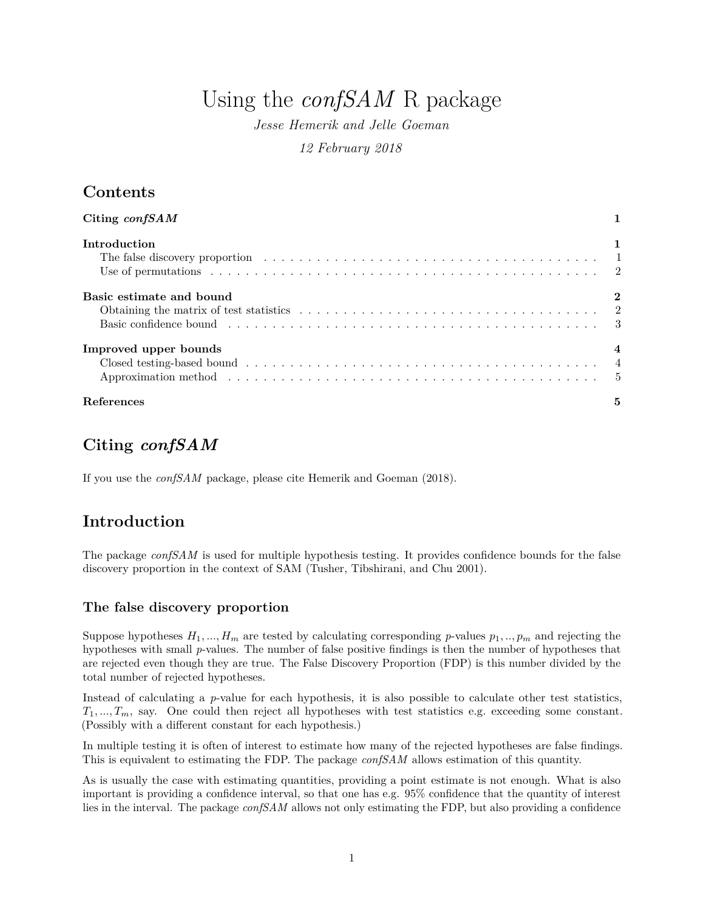# Using the *confSAM* R package

*Jesse Hemerik and Jelle Goeman 12 February 2018*

# **Contents**

| Citing $\text{confSAM}$                                                                                                              |   |
|--------------------------------------------------------------------------------------------------------------------------------------|---|
| Introduction                                                                                                                         |   |
|                                                                                                                                      |   |
| Basic estimate and bound                                                                                                             |   |
| Obtaining the matrix of test statistics $\ldots \ldots \ldots \ldots \ldots \ldots \ldots \ldots \ldots \ldots \ldots \ldots \ldots$ |   |
|                                                                                                                                      |   |
| Improved upper bounds                                                                                                                |   |
|                                                                                                                                      |   |
|                                                                                                                                      |   |
| References                                                                                                                           | 5 |

# <span id="page-0-0"></span>**Citing** *confSAM*

If you use the *confSAM* package, please cite Hemerik and Goeman (2018).

# <span id="page-0-1"></span>**Introduction**

The package *confSAM* is used for multiple hypothesis testing. It provides confidence bounds for the false discovery proportion in the context of SAM (Tusher, Tibshirani, and Chu 2001).

### <span id="page-0-2"></span>**The false discovery proportion**

Suppose hypotheses  $H_1, ..., H_m$  are tested by calculating corresponding *p*-values  $p_1, ..., p_m$  and rejecting the hypotheses with small *p*-values. The number of false positive findings is then the number of hypotheses that are rejected even though they are true. The False Discovery Proportion (FDP) is this number divided by the total number of rejected hypotheses.

Instead of calculating a *p*-value for each hypothesis, it is also possible to calculate other test statistics,  $T_1, ..., T_m$ , say. One could then reject all hypotheses with test statistics e.g. exceeding some constant. (Possibly with a different constant for each hypothesis.)

In multiple testing it is often of interest to estimate how many of the rejected hypotheses are false findings. This is equivalent to estimating the FDP. The package *confSAM* allows estimation of this quantity.

As is usually the case with estimating quantities, providing a point estimate is not enough. What is also important is providing a confidence interval, so that one has e.g. 95% confidence that the quantity of interest lies in the interval. The package *confSAM* allows not only estimating the FDP, but also providing a confidence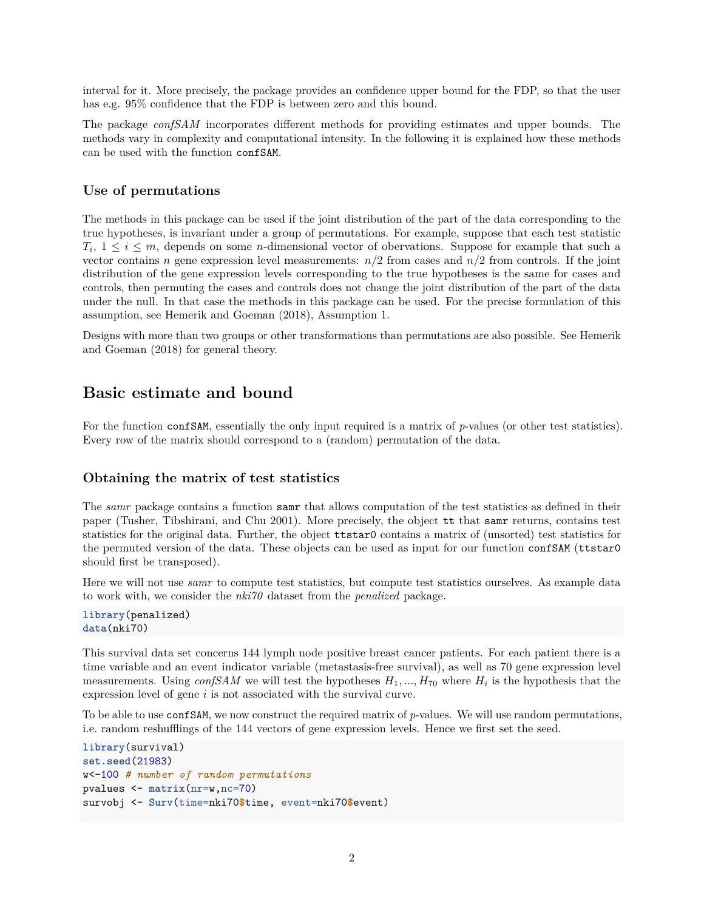interval for it. More precisely, the package provides an confidence upper bound for the FDP, so that the user has e.g. 95% confidence that the FDP is between zero and this bound.

The package *confSAM* incorporates different methods for providing estimates and upper bounds. The methods vary in complexity and computational intensity. In the following it is explained how these methods can be used with the function confSAM.

#### <span id="page-1-0"></span>**Use of permutations**

The methods in this package can be used if the joint distribution of the part of the data corresponding to the true hypotheses, is invariant under a group of permutations. For example, suppose that each test statistic  $T_i, 1 \leq i \leq m$ , depends on some *n*-dimensional vector of obervations. Suppose for example that such a vector contains *n* gene expression level measurements:  $n/2$  from cases and  $n/2$  from controls. If the joint distribution of the gene expression levels corresponding to the true hypotheses is the same for cases and controls, then permuting the cases and controls does not change the joint distribution of the part of the data under the null. In that case the methods in this package can be used. For the precise formulation of this assumption, see Hemerik and Goeman (2018), Assumption 1.

Designs with more than two groups or other transformations than permutations are also possible. See Hemerik and Goeman (2018) for general theory.

### <span id="page-1-1"></span>**Basic estimate and bound**

For the function confSAM, essentially the only input required is a matrix of *p*-values (or other test statistics). Every row of the matrix should correspond to a (random) permutation of the data.

#### <span id="page-1-2"></span>**Obtaining the matrix of test statistics**

The *samr* package contains a function samr that allows computation of the test statistics as defined in their paper (Tusher, Tibshirani, and Chu 2001). More precisely, the object tt that samr returns, contains test statistics for the original data. Further, the object ttstar0 contains a matrix of (unsorted) test statistics for the permuted version of the data. These objects can be used as input for our function confSAM (ttstar0 should first be transposed).

Here we will not use *samr* to compute test statistics, but compute test statistics ourselves. As example data to work with, we consider the *nki70* dataset from the *penalized* package.

```
library(penalized)
data(nki70)
```
This survival data set concerns 144 lymph node positive breast cancer patients. For each patient there is a time variable and an event indicator variable (metastasis-free survival), as well as 70 gene expression level measurements. Using *confSAM* we will test the hypotheses *H*1*, ..., H*<sup>70</sup> where *H<sup>i</sup>* is the hypothesis that the expression level of gene *i* is not associated with the survival curve.

To be able to use confSAM, we now construct the required matrix of *p*-values. We will use random permutations, i.e. random reshufflings of the 144 vectors of gene expression levels. Hence we first set the seed.

```
library(survival)
set.seed(21983)
w<-100 # number of random permutations
pvalues <- matrix(nr=w,nc=70)
survobj <- Surv(time=nki70$time, event=nki70$event)
```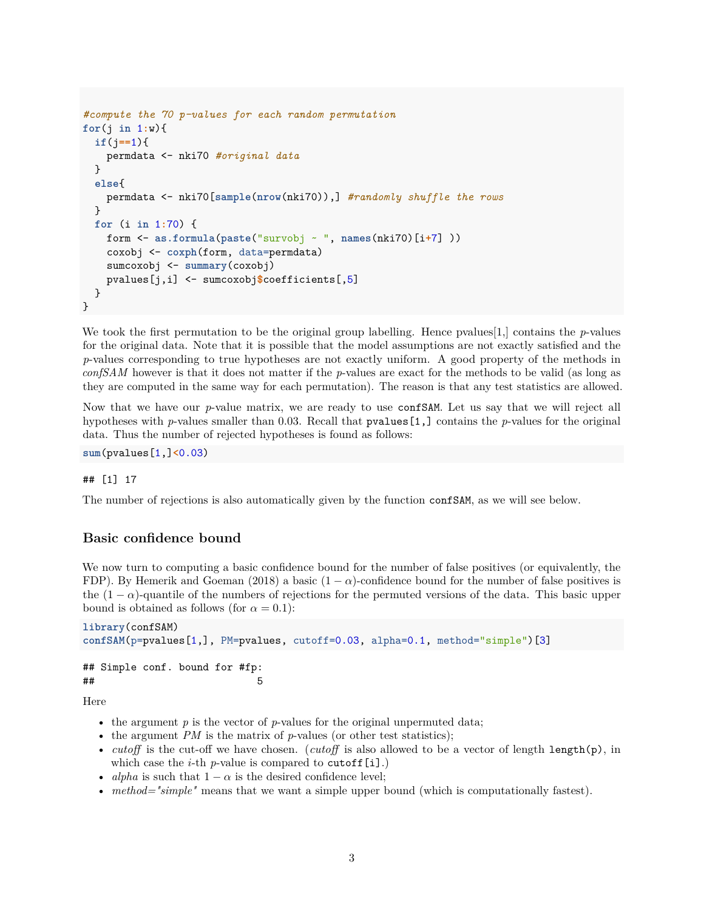```
#compute the 70 p-values for each random permutation
for(j in 1:w){
  if(j==1){
   permdata <- nki70 #original data
  }
  else{
   permdata <- nki70[sample(nrow(nki70)),] #randomly shuffle the rows
  }
  for (i in 1:70) {
   form <- as.formula(paste("survobj ~ ", names(nki70)[i+7] ))
   coxobj <- coxph(form, data=permdata)
    sumcoxobj <- summary(coxobj)
   pvalues[j,i] <- sumcoxobj$coefficients[,5]
  }
}
```
We took the first permutation to be the original group labelling. Hence pvalues  $[1]$ , contains the *p*-values for the original data. Note that it is possible that the model assumptions are not exactly satisfied and the *p*-values corresponding to true hypotheses are not exactly uniform. A good property of the methods in *confSAM* however is that it does not matter if the *p*-values are exact for the methods to be valid (as long as they are computed in the same way for each permutation). The reason is that any test statistics are allowed.

Now that we have our *p*-value matrix, we are ready to use confSAM. Let us say that we will reject all hypotheses with *p*-values smaller than 0*.*03. Recall that pvalues[1,] contains the *p*-values for the original data. Thus the number of rejected hypotheses is found as follows:

**sum**(pvalues[1,]**<**0.03)

#### ## [1] 17

The number of rejections is also automatically given by the function confSAM, as we will see below.

#### <span id="page-2-0"></span>**Basic confidence bound**

We now turn to computing a basic confidence bound for the number of false positives (or equivalently, the FDP). By Hemerik and Goeman (2018) a basic  $(1 - \alpha)$ -confidence bound for the number of false positives is the  $(1 - \alpha)$ -quantile of the numbers of rejections for the permuted versions of the data. This basic upper bound is obtained as follows (for  $\alpha = 0.1$ ):

```
library(confSAM)
confSAM(p=pvalues[1,], PM=pvalues, cutoff=0.03, alpha=0.1, method="simple")[3]
## Simple conf. bound for #fp:
\##\# 5
```
Here

- the argument  $p$  is the vector of  $p$ -values for the original unpermuted data;
- the argument *PM* is the matrix of *p*-values (or other test statistics);
- *cutoff* is the cut-off we have chosen. (*cutoff* is also allowed to be a vector of length length(p), in which case the *i*-th  $p$ -value is compared to cutoff[i].)
- *alpha* is such that  $1 \alpha$  is the desired confidence level;
- *method="simple"* means that we want a simple upper bound (which is computationally fastest).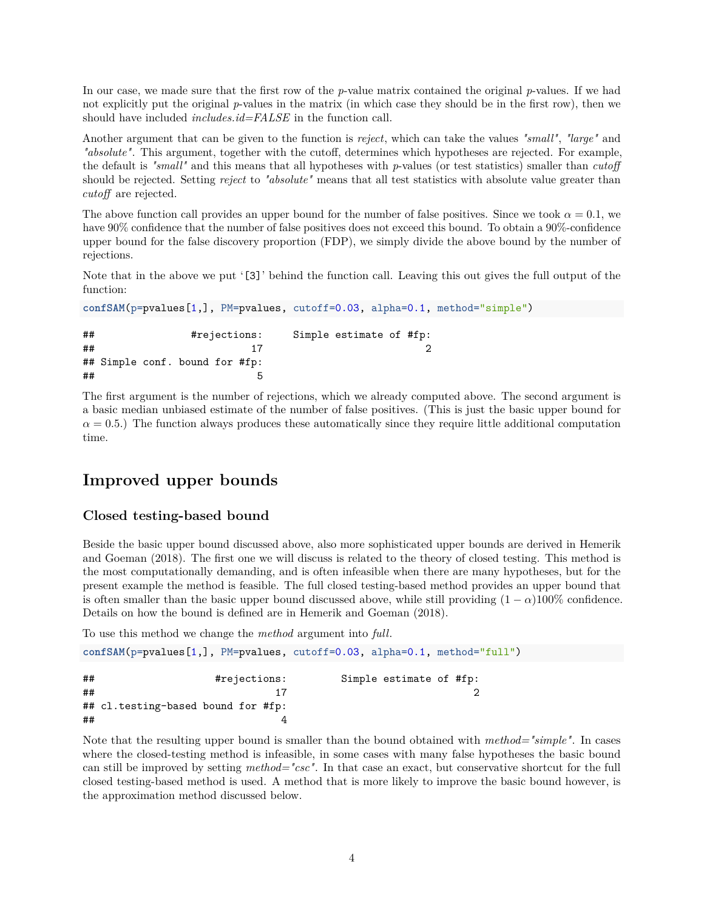In our case, we made sure that the first row of the *p*-value matrix contained the original *p*-values. If we had not explicitly put the original *p*-values in the matrix (in which case they should be in the first row), then we should have included *includes.id=FALSE* in the function call.

Another argument that can be given to the function is *reject*, which can take the values *"small"*, *"large"* and *"absolute"*. This argument, together with the cutoff, determines which hypotheses are rejected. For example, the default is *"small"* and this means that all hypotheses with *p*-values (or test statistics) smaller than *cutoff* should be rejected. Setting *reject* to *"absolute"* means that all test statistics with absolute value greater than *cutoff* are rejected.

The above function call provides an upper bound for the number of false positives. Since we took  $\alpha = 0.1$ , we have  $90\%$  confidence that the number of false positives does not exceed this bound. To obtain a  $90\%$ -confidence upper bound for the false discovery proportion (FDP), we simply divide the above bound by the number of rejections.

Note that in the above we put '[3]' behind the function call. Leaving this out gives the full output of the function:

```
confSAM(p=pvalues[1,], PM=pvalues, cutoff=0.03, alpha=0.1, method="simple")
## #rejections: Simple estimate of #fp:
\# \# \frac{17}{2}## Simple conf. bound for #fp:
\## 5
```
The first argument is the number of rejections, which we already computed above. The second argument is a basic median unbiased estimate of the number of false positives. (This is just the basic upper bound for  $\alpha = 0.5$ .) The function always produces these automatically since they require little additional computation time.

### <span id="page-3-0"></span>**Improved upper bounds**

#### <span id="page-3-1"></span>**Closed testing-based bound**

 $\#$ # 4

Beside the basic upper bound discussed above, also more sophisticated upper bounds are derived in Hemerik and Goeman (2018). The first one we will discuss is related to the theory of closed testing. This method is the most computationally demanding, and is often infeasible when there are many hypotheses, but for the present example the method is feasible. The full closed testing-based method provides an upper bound that is often smaller than the basic upper bound discussed above, while still providing  $(1 - \alpha)100\%$  confidence. Details on how the bound is defined are in Hemerik and Goeman (2018).

To use this method we change the *method* argument into *full*.

```
confSAM(p=pvalues[1,], PM=pvalues, cutoff=0.03, alpha=0.1, method="full")
## #rejections: Simple estimate of #fp:
\##
## cl.testing-based bound for #fp:
```
Note that the resulting upper bound is smaller than the bound obtained with *method="simple"*. In cases where the closed-testing method is infeasible, in some cases with many false hypotheses the basic bound can still be improved by setting *method="csc"*. In that case an exact, but conservative shortcut for the full closed testing-based method is used. A method that is more likely to improve the basic bound however, is the approximation method discussed below.